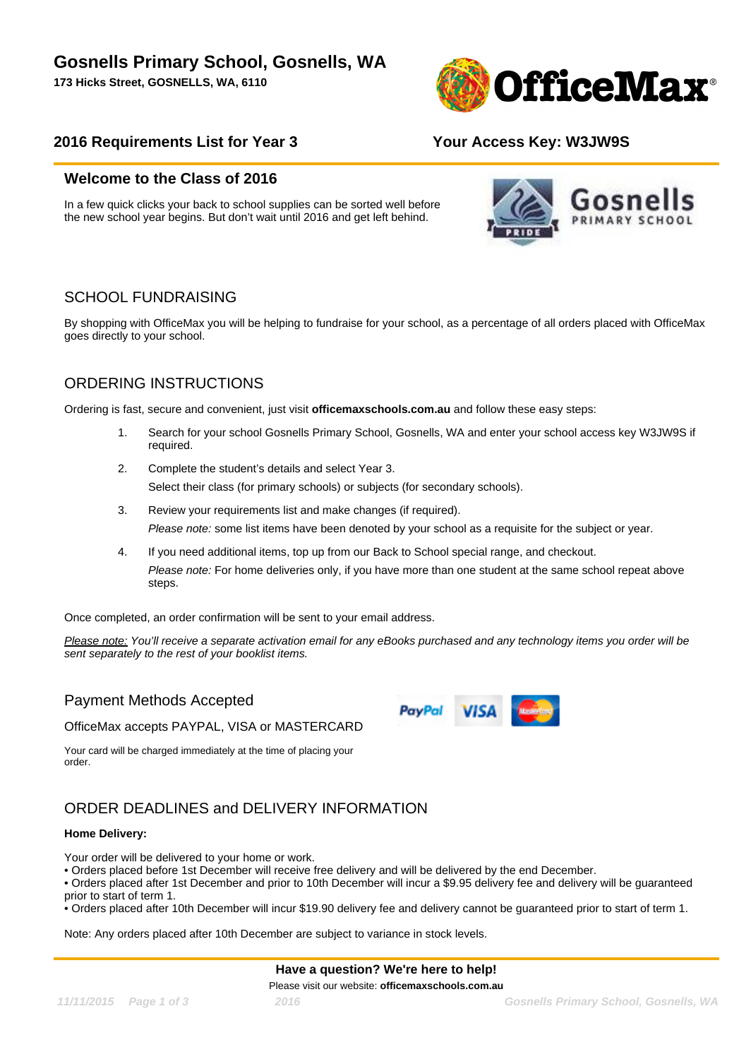**173 Hicks Street, GOSNELLS, WA, 6110**



#### **2016 Requirements List for Year 3 Your Access Key: W3JW9S**

#### **Welcome to the Class of 2016**

In a few quick clicks your back to school supplies can be sorted well before the new school year begins. But don't wait until 2016 and get left behind.



### SCHOOL FUNDRAISING

By shopping with OfficeMax you will be helping to fundraise for your school, as a percentage of all orders placed with OfficeMax goes directly to your school.

## ORDERING INSTRUCTIONS

Ordering is fast, secure and convenient, just visit **officemaxschools.com.au** and follow these easy steps:

- 1. Search for your school Gosnells Primary School, Gosnells, WA and enter your school access key W3JW9S if required.
- 2. Complete the student's details and select Year 3. Select their class (for primary schools) or subjects (for secondary schools).
- 3. Review your requirements list and make changes (if required). Please note: some list items have been denoted by your school as a requisite for the subject or year.
- 4. If you need additional items, top up from our Back to School special range, and checkout. Please note: For home deliveries only, if you have more than one student at the same school repeat above steps.

Once completed, an order confirmation will be sent to your email address.

Please note: You'll receive a separate activation email for any eBooks purchased and any technology items you order will be sent separately to the rest of your booklist items.

#### Payment Methods Accepted

OfficeMax accepts PAYPAL, VISA or MASTERCARD

Your card will be charged immediately at the time of placing your order.

## ORDER DEADLINES and DELIVERY INFORMATION

#### **Home Delivery:**

Your order will be delivered to your home or work.

• Orders placed before 1st December will receive free delivery and will be delivered by the end December.

• Orders placed after 1st December and prior to 10th December will incur a \$9.95 delivery fee and delivery will be guaranteed prior to start of term 1.

• Orders placed after 10th December will incur \$19.90 delivery fee and delivery cannot be guaranteed prior to start of term 1.

Note: Any orders placed after 10th December are subject to variance in stock levels.

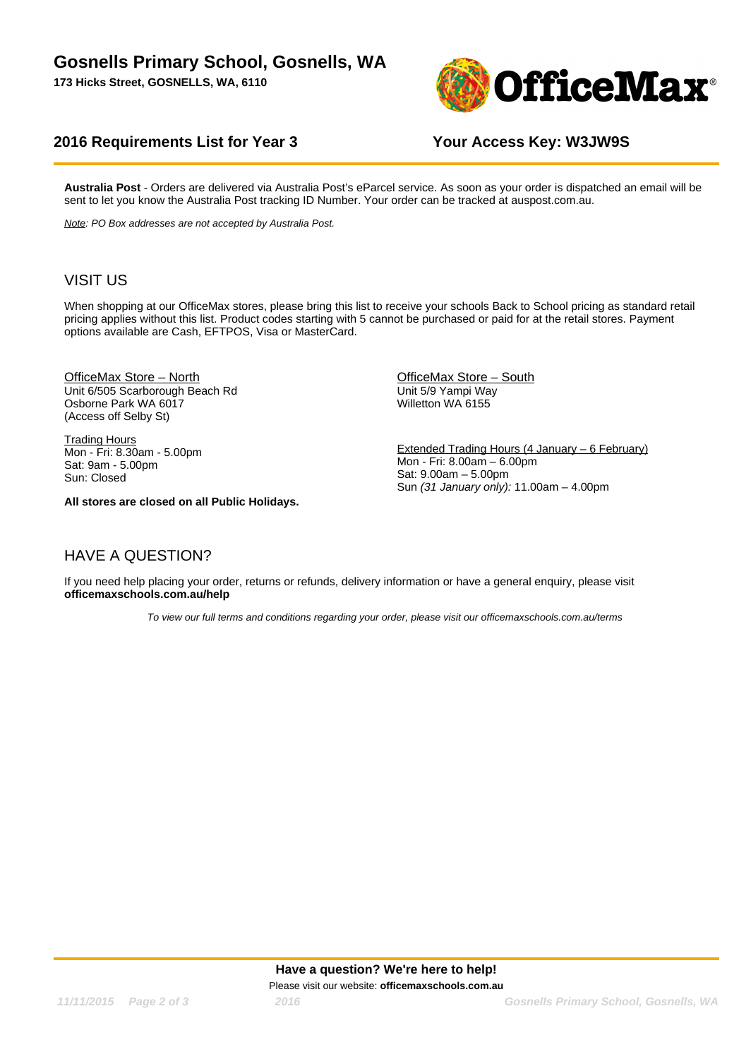**173 Hicks Street, GOSNELLS, WA, 6110**



#### **2016 Requirements List for Year 3 Your Access Key: W3JW9S**

**Australia Post** - Orders are delivered via Australia Post's eParcel service. As soon as your order is dispatched an email will be sent to let you know the Australia Post tracking ID Number. Your order can be tracked at auspost.com.au.

Note: PO Box addresses are not accepted by Australia Post.

#### VISIT US

When shopping at our OfficeMax stores, please bring this list to receive your schools Back to School pricing as standard retail pricing applies without this list. Product codes starting with 5 cannot be purchased or paid for at the retail stores. Payment options available are Cash, EFTPOS, Visa or MasterCard.

OfficeMax Store – North Unit 6/505 Scarborough Beach Rd Osborne Park WA 6017 (Access off Selby St)

**Trading Hours** Mon - Fri: 8.30am - 5.00pm Sat: 9am - 5.00pm Sun: Closed

**All stores are closed on all Public Holidays.**

OfficeMax Store – South Unit 5/9 Yampi Way Willetton WA 6155

Extended Trading Hours (4 January – 6 February) Mon - Fri: 8.00am – 6.00pm Sat: 9.00am – 5.00pm Sun (31 January only): 11.00am – 4.00pm

### HAVE A QUESTION?

If you need help placing your order, returns or refunds, delivery information or have a general enquiry, please visit **officemaxschools.com.au/help**

To view our full terms and conditions regarding your order, please visit our officemaxschools.com.au/terms